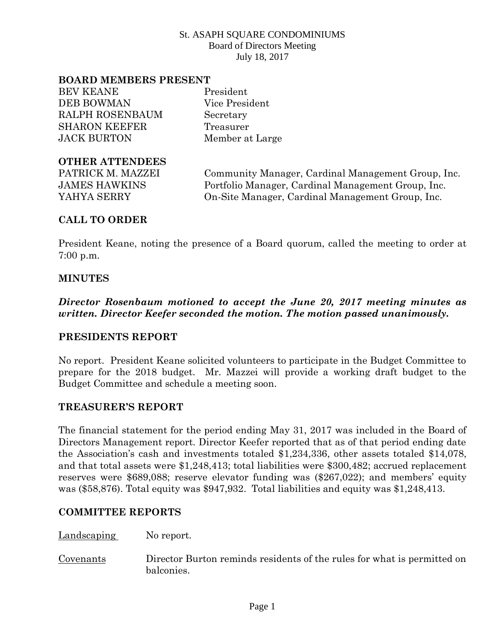#### **BOARD MEMBERS PRESENT**

BEV KEANE President DEB BOWMAN Vice President RALPH ROSENBAUM Secretary SHARON KEEFER Treasurer JACK BURTON Member at Large

### **OTHER ATTENDEES**

PATRICK M. MAZZEI Community Manager, Cardinal Management Group, Inc. JAMES HAWKINS Portfolio Manager, Cardinal Management Group, Inc. YAHYA SERRY On-Site Manager, Cardinal Management Group, Inc.

### **CALL TO ORDER**

President Keane, noting the presence of a Board quorum, called the meeting to order at 7:00 p.m.

#### **MINUTES**

*Director Rosenbaum motioned to accept the June 20, 2017 meeting minutes as written. Director Keefer seconded the motion. The motion passed unanimously.*

### **PRESIDENTS REPORT**

No report. President Keane solicited volunteers to participate in the Budget Committee to prepare for the 2018 budget. Mr. Mazzei will provide a working draft budget to the Budget Committee and schedule a meeting soon.

### **TREASURER'S REPORT**

The financial statement for the period ending May 31, 2017 was included in the Board of Directors Management report. Director Keefer reported that as of that period ending date the Association's cash and investments totaled \$1,234,336, other assets totaled \$14,078, and that total assets were \$1,248,413; total liabilities were \$300,482; accrued replacement reserves were \$689,088; reserve elevator funding was (\$267,022); and members' equity was (\$58,876). Total equity was \$947,932. Total liabilities and equity was \$1,248,413.

#### **COMMITTEE REPORTS**

Landscaping No report.

Covenants Director Burton reminds residents of the rules for what is permitted on balconies.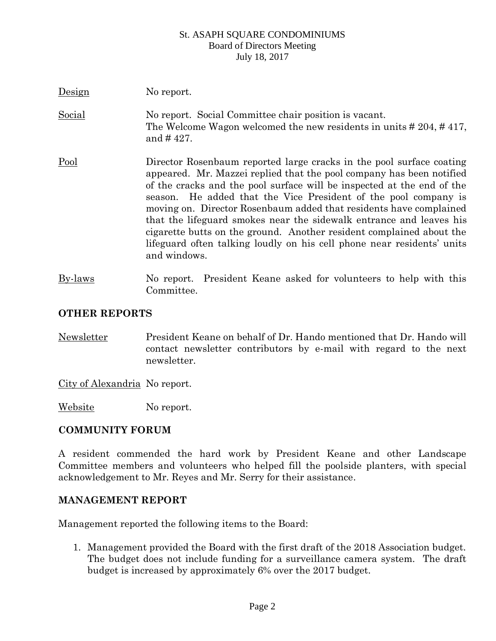| Design        | No report.                                                                                                                                                                                                                                                                                                                                                                                                                                                                                                                                                                                               |
|---------------|----------------------------------------------------------------------------------------------------------------------------------------------------------------------------------------------------------------------------------------------------------------------------------------------------------------------------------------------------------------------------------------------------------------------------------------------------------------------------------------------------------------------------------------------------------------------------------------------------------|
| <b>Social</b> | No report. Social Committee chair position is vacant.<br>The Welcome Wagon welcomed the new residents in units $\# 204, \# 417$ ,<br>and $\#$ 427.                                                                                                                                                                                                                                                                                                                                                                                                                                                       |
| Pool          | Director Rosenbaum reported large cracks in the pool surface coating<br>appeared. Mr. Mazzei replied that the pool company has been notified<br>of the cracks and the pool surface will be inspected at the end of the<br>season. He added that the Vice President of the pool company is<br>moving on. Director Rosenbaum added that residents have complained<br>that the lifeguard smokes near the sidewalk entrance and leaves his<br>cigarette butts on the ground. Another resident complained about the<br>lifeguard often talking loudly on his cell phone near residents' units<br>and windows. |
| By-laws       | No report. President Keane asked for volunteers to help with this<br>Committee.                                                                                                                                                                                                                                                                                                                                                                                                                                                                                                                          |

# **OTHER REPORTS**

Newsletter President Keane on behalf of Dr. Hando mentioned that Dr. Hando will contact newsletter contributors by e-mail with regard to the next newsletter.

City of Alexandria No report.

Website No report.

### **COMMUNITY FORUM**

A resident commended the hard work by President Keane and other Landscape Committee members and volunteers who helped fill the poolside planters, with special acknowledgement to Mr. Reyes and Mr. Serry for their assistance.

### **MANAGEMENT REPORT**

Management reported the following items to the Board:

1. Management provided the Board with the first draft of the 2018 Association budget. The budget does not include funding for a surveillance camera system. The draft budget is increased by approximately 6% over the 2017 budget.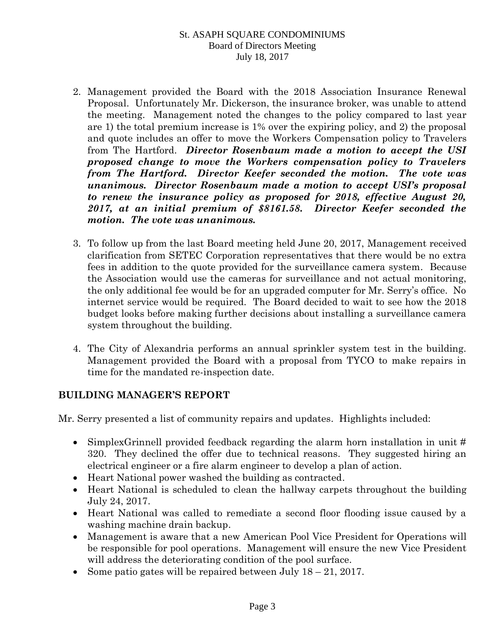- 2. Management provided the Board with the 2018 Association Insurance Renewal Proposal. Unfortunately Mr. Dickerson, the insurance broker, was unable to attend the meeting. Management noted the changes to the policy compared to last year are 1) the total premium increase is 1% over the expiring policy, and 2) the proposal and quote includes an offer to move the Workers Compensation policy to Travelers from The Hartford. *Director Rosenbaum made a motion to accept the USI proposed change to move the Workers compensation policy to Travelers from The Hartford. Director Keefer seconded the motion. The vote was unanimous. Director Rosenbaum made a motion to accept USI's proposal to renew the insurance policy as proposed for 2018, effective August 20, 2017, at an initial premium of \$8161.58. Director Keefer seconded the motion. The vote was unanimous.*
- 3. To follow up from the last Board meeting held June 20, 2017, Management received clarification from SETEC Corporation representatives that there would be no extra fees in addition to the quote provided for the surveillance camera system. Because the Association would use the cameras for surveillance and not actual monitoring, the only additional fee would be for an upgraded computer for Mr. Serry's office. No internet service would be required. The Board decided to wait to see how the 2018 budget looks before making further decisions about installing a surveillance camera system throughout the building.
- 4. The City of Alexandria performs an annual sprinkler system test in the building. Management provided the Board with a proposal from TYCO to make repairs in time for the mandated re-inspection date.

# **BUILDING MANAGER'S REPORT**

Mr. Serry presented a list of community repairs and updates. Highlights included:

- SimplexGrinnell provided feedback regarding the alarm horn installation in unit # 320. They declined the offer due to technical reasons. They suggested hiring an electrical engineer or a fire alarm engineer to develop a plan of action.
- Heart National power washed the building as contracted.
- Heart National is scheduled to clean the hallway carpets throughout the building July 24, 2017.
- Heart National was called to remediate a second floor flooding issue caused by a washing machine drain backup.
- Management is aware that a new American Pool Vice President for Operations will be responsible for pool operations. Management will ensure the new Vice President will address the deteriorating condition of the pool surface.
- Some patio gates will be repaired between July  $18 21$ , 2017.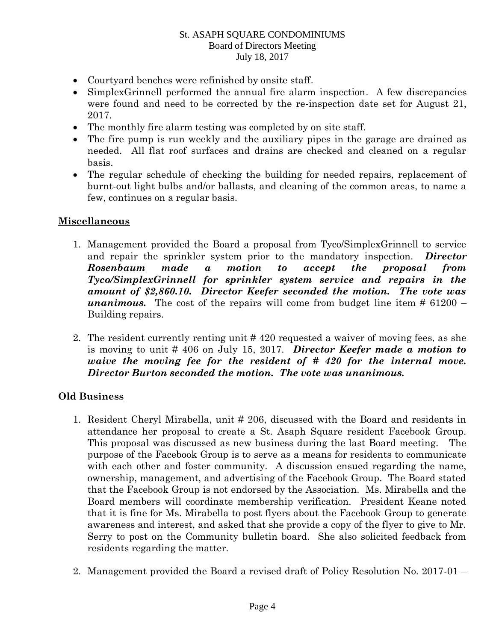- Courtyard benches were refinished by onsite staff.
- SimplexGrinnell performed the annual fire alarm inspection. A few discrepancies were found and need to be corrected by the re-inspection date set for August 21, 2017.
- The monthly fire alarm testing was completed by on site staff.
- The fire pump is run weekly and the auxiliary pipes in the garage are drained as needed. All flat roof surfaces and drains are checked and cleaned on a regular basis.
- The regular schedule of checking the building for needed repairs, replacement of burnt-out light bulbs and/or ballasts, and cleaning of the common areas, to name a few, continues on a regular basis.

# **Miscellaneous**

- 1. Management provided the Board a proposal from Tyco/SimplexGrinnell to service and repair the sprinkler system prior to the mandatory inspection. *Director Rosenbaum made a motion to accept the proposal from Tyco/SimplexGrinnell for sprinkler system service and repairs in the amount of \$2,860.10. Director Keefer seconded the motion. The vote was unanimous.* The cost of the repairs will come from budget line item  $\#61200 -$ Building repairs.
- 2. The resident currently renting unit # 420 requested a waiver of moving fees, as she is moving to unit # 406 on July 15, 2017. *Director Keefer made a motion to waive the moving fee for the resident of # 420 for the internal move. Director Burton seconded the motion. The vote was unanimous.*

# **Old Business**

- 1. Resident Cheryl Mirabella, unit # 206, discussed with the Board and residents in attendance her proposal to create a St. Asaph Square resident Facebook Group. This proposal was discussed as new business during the last Board meeting. The purpose of the Facebook Group is to serve as a means for residents to communicate with each other and foster community. A discussion ensued regarding the name, ownership, management, and advertising of the Facebook Group. The Board stated that the Facebook Group is not endorsed by the Association. Ms. Mirabella and the Board members will coordinate membership verification. President Keane noted that it is fine for Ms. Mirabella to post flyers about the Facebook Group to generate awareness and interest, and asked that she provide a copy of the flyer to give to Mr. Serry to post on the Community bulletin board. She also solicited feedback from residents regarding the matter.
- 2. Management provided the Board a revised draft of Policy Resolution No. 2017-01 –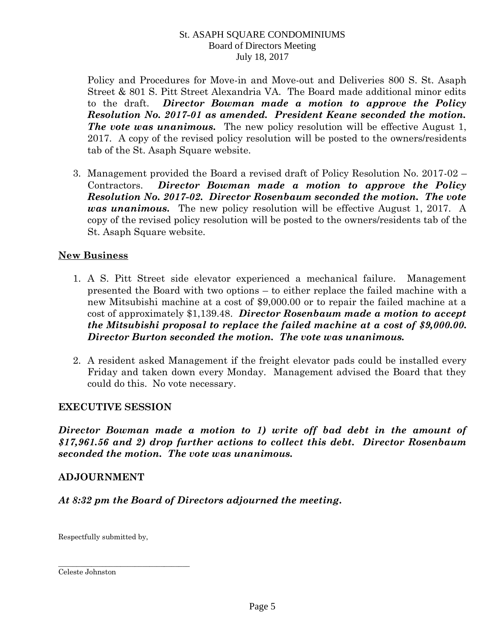Policy and Procedures for Move-in and Move-out and Deliveries 800 S. St. Asaph Street & 801 S. Pitt Street Alexandria VA. The Board made additional minor edits to the draft. *Director Bowman made a motion to approve the Policy Resolution No. 2017-01 as amended. President Keane seconded the motion. The vote was unanimous.* The new policy resolution will be effective August 1, 2017. A copy of the revised policy resolution will be posted to the owners/residents tab of the St. Asaph Square website.

3. Management provided the Board a revised draft of Policy Resolution No. 2017-02 – Contractors. *Director Bowman made a motion to approve the Policy Resolution No. 2017-02. Director Rosenbaum seconded the motion. The vote was unanimous.* The new policy resolution will be effective August 1, 2017. A copy of the revised policy resolution will be posted to the owners/residents tab of the St. Asaph Square website.

# **New Business**

- 1. A S. Pitt Street side elevator experienced a mechanical failure. Management presented the Board with two options – to either replace the failed machine with a new Mitsubishi machine at a cost of \$9,000.00 or to repair the failed machine at a cost of approximately \$1,139.48. *Director Rosenbaum made a motion to accept the Mitsubishi proposal to replace the failed machine at a cost of \$9,000.00. Director Burton seconded the motion. The vote was unanimous.*
- 2. A resident asked Management if the freight elevator pads could be installed every Friday and taken down every Monday. Management advised the Board that they could do this. No vote necessary.

# **EXECUTIVE SESSION**

*Director Bowman made a motion to 1) write off bad debt in the amount of \$17,961.56 and 2) drop further actions to collect this debt. Director Rosenbaum seconded the motion. The vote was unanimous.* 

### **ADJOURNMENT**

*At 8:32 pm the Board of Directors adjourned the meeting.* 

Respectfully submitted by,

\_\_\_\_\_\_\_\_\_\_\_\_\_\_\_\_\_\_\_\_\_\_\_\_\_\_\_\_\_\_\_\_\_\_\_\_

Celeste Johnston